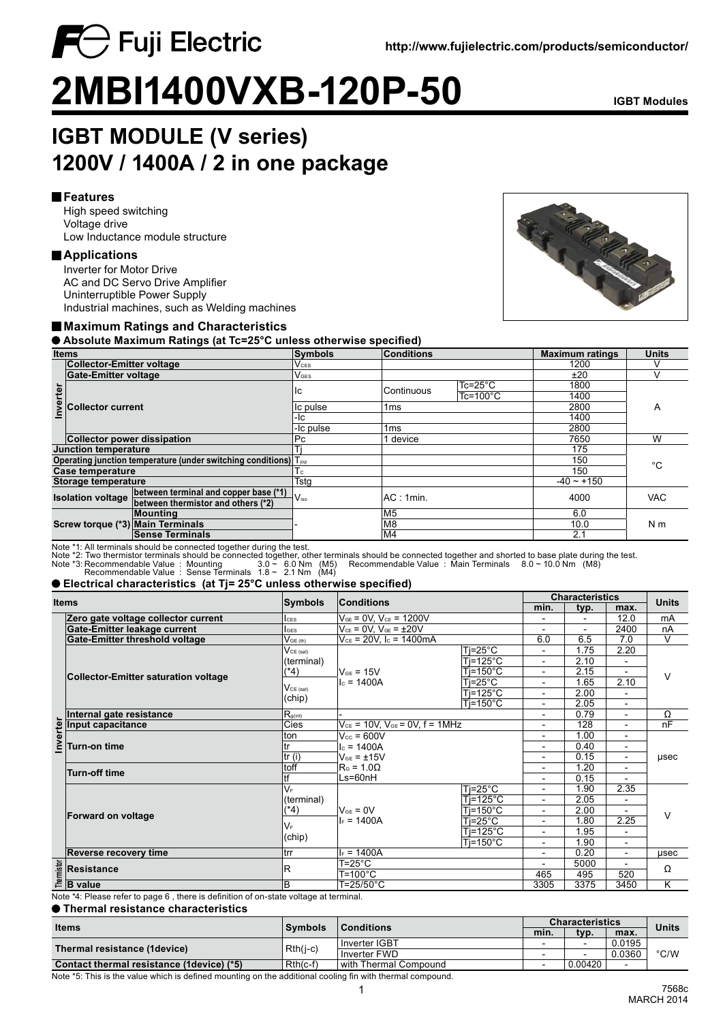

# **2MBI1400VXB-120P-50 IGBT Modules**

## **IGBT MODULE (V series) 1200V / 1400A / 2 in one package**

#### **Features**

High speed switching Voltage drive Low Inductance module structure

 $\bigcap$  Fuji Electric

#### **Applications**

Inverter for Motor Drive AC and DC Servo Drive Amplifier Uninterruptible Power Supply Industrial machines, such as Welding machines

#### **Maximum Ratings and Characteristics**

 **Absolute Maximum Ratings (at Tc=25°C unless otherwise specified)**

| <b>Items</b>                                                                 |                                                                   | Symbols                            | Conditions         |                 | <b>Maximum ratings</b> | <b>Units</b> |                |  |
|------------------------------------------------------------------------------|-------------------------------------------------------------------|------------------------------------|--------------------|-----------------|------------------------|--------------|----------------|--|
|                                                                              | <b>Collector-Emitter voltage</b>                                  |                                    | $V_{\mathsf{CES}}$ |                 |                        |              |                |  |
|                                                                              | Gate-Emitter voltage                                              |                                    | $V_{\text{GES}}$   |                 |                        | ±20          |                |  |
| nverter                                                                      |                                                                   |                                    | ıс                 | Continuous      | $Tc = 25^{\circ}C$     | 1800         |                |  |
|                                                                              |                                                                   |                                    |                    |                 | $Tc = 100^{\circ}C$    | 1400         |                |  |
|                                                                              | <b>Collector current</b>                                          |                                    | Ic pulse           | 1 <sub>ms</sub> |                        |              | A              |  |
|                                                                              |                                                                   |                                    | -lc                |                 |                        |              |                |  |
|                                                                              |                                                                   |                                    | -Ic pulse          | 1 <sub>ms</sub> |                        |              |                |  |
|                                                                              | <b>Collector power dissipation</b>                                |                                    | Pc                 | l device        |                        |              | W              |  |
| <b>Junction temperature</b>                                                  |                                                                   |                                    |                    |                 |                        |              |                |  |
| Operating junction temperature (under switching conditions) $T_{\text{top}}$ |                                                                   |                                    |                    |                 |                        |              | °€             |  |
| Case temperature                                                             |                                                                   |                                    | I c                |                 |                        | 150          |                |  |
| Storage temperature                                                          |                                                                   |                                    | Tsta               |                 |                        |              |                |  |
|                                                                              | between terminal and copper base (*1)<br><b>Isolation voltage</b> |                                    | $V_{\rm iso}$      | AC: 1min.       |                        | 4000         | <b>VAC</b>     |  |
|                                                                              |                                                                   | between thermistor and others (*2) |                    |                 |                        |              |                |  |
|                                                                              |                                                                   | Mounting                           |                    | M5              |                        |              |                |  |
|                                                                              |                                                                   | Screw torque (*3) Main Terminals   |                    | M8              |                        |              | N <sub>m</sub> |  |
|                                                                              |                                                                   | <b>Sense Terminals</b>             |                    | M4              |                        | 2.1          |                |  |

Note \*1: All terminals should be connected together during the test.

Note \*2: Two thermistor terminals should be connected together, other terminals should be connected together and shorted to base plate during the test.<br>Note \*3: Recommendable Value : Mounting 3.0 ~ 6.0 Nm (M5) Recommen

#### **Electrical characteristics (at Tj= 25°C unless otherwise specified)**

| <b>Items</b> |                                                                                             |                          | Symbols<br>Conditions                     |                          | <b>Characteristics</b>   |                          |                              |                              |
|--------------|---------------------------------------------------------------------------------------------|--------------------------|-------------------------------------------|--------------------------|--------------------------|--------------------------|------------------------------|------------------------------|
|              |                                                                                             |                          |                                           |                          | min.                     | typ.                     | max.                         | <b>Units</b>                 |
|              | Zero gate voltage collector current                                                         | <b>ICES</b>              | $V_{GE}$ = 0V, $V_{CE}$ = 1200V           |                          |                          |                          | 12.0                         | mA                           |
|              | Gate-Emitter leakage current                                                                | <b>IGES</b>              | $V_{CE}$ = 0V, $V_{GE}$ = $\pm 20V$       |                          |                          | $\overline{a}$           | 2400                         | nA                           |
|              | Gate-Emitter threshold voltage                                                              | $V_{GE(th)}$             | $V_{CE}$ = 20V, Ic = 1400mA               |                          | 6.0                      | 6.5                      | 7.0                          | $\vee$                       |
|              |                                                                                             | $V_{CE (sat)}$           |                                           | $Ti=25^{\circ}C$         |                          | 1.75                     | 2.20                         |                              |
|              |                                                                                             | (terminal)               |                                           | $Ti=125^{\circ}C$        | $\blacksquare$           | 2.10                     | $\overline{\phantom{a}}$     |                              |
|              | <b>Collector-Emitter saturation voltage</b>                                                 | $(*4)$                   | $V_{GF}$ = 15V                            | $Ti=150^{\circ}C$        | $\overline{\phantom{a}}$ | 2.15                     | $\qquad \qquad \blacksquare$ | $\vee$                       |
|              |                                                                                             | $V_{CE (sat)}$<br>(chip) | $c = 1400A$                               | $Ti=25^{\circ}C$         | $\overline{\phantom{0}}$ | 1.65                     | 2.10                         |                              |
|              |                                                                                             |                          |                                           | $Ti=125^{\circ}C$        | $\overline{\phantom{a}}$ | 2.00                     | $\overline{\phantom{a}}$     |                              |
|              |                                                                                             |                          |                                           | $Ti=150^{\circ}C$        | $\overline{\phantom{a}}$ | 2.05                     | ٠                            |                              |
|              | Internal gate resistance<br>$R_{g(int)}$                                                    |                          |                                           |                          | $\overline{\phantom{0}}$ | 0.79                     | $\blacksquare$               | Ω                            |
| nverter      | Input capacitance                                                                           | Cies                     | $V_{CE}$ = 10V, $V_{GE}$ = 0V, f = 1MHz   |                          | -                        | 128                      | $\qquad \qquad \blacksquare$ | nF                           |
|              |                                                                                             | ton                      | $V_{cc}$ = 600V                           | $\overline{\phantom{0}}$ | 1.00                     | ٠                        | usec                         |                              |
|              | Turn-on time                                                                                | tr                       | $c = 1400A$                               | $\overline{\phantom{a}}$ | 0.40                     | $\overline{\phantom{a}}$ |                              |                              |
|              |                                                                                             | tr(i)                    | $V_{GE} = \pm 15V$<br>$RG$ = 1.0 $\Omega$ |                          |                          | 0.15                     |                              | $\overline{a}$               |
|              |                                                                                             | toff                     |                                           |                          | $\overline{\phantom{a}}$ | 1.20                     |                              | $\qquad \qquad \blacksquare$ |
|              | <b>Turn-off time</b>                                                                        | tf                       | Ls=60nH                                   |                          | 0.15                     |                          |                              |                              |
|              | Forward on voltage                                                                          | $V_F$                    |                                           | $Ti=25^{\circ}C$         | $\overline{\phantom{0}}$ | 1.90                     | 2.35                         |                              |
|              |                                                                                             | (terminal)<br>(*4)       | $V_{GF} = 0V$<br>$I_F = 1400A$            | $Ti=125^{\circ}C$        | $\overline{\phantom{a}}$ | 2.05                     | $\overline{\phantom{a}}$     |                              |
|              |                                                                                             |                          |                                           | $Ti=150^{\circ}C$        | $\overline{\phantom{a}}$ | 2.00                     |                              | $\vee$                       |
|              |                                                                                             | $V_{\rm F}$<br>(chip)    |                                           | $Ti=25^{\circ}C$         | $\overline{\phantom{0}}$ | 1.80                     | 2.25                         |                              |
|              |                                                                                             |                          |                                           | $Ti=125^{\circ}$ C       |                          | 1.95                     |                              |                              |
|              |                                                                                             |                          |                                           | $Ti=150^{\circ}C$        | $\overline{\phantom{a}}$ | 1.90                     | $\qquad \qquad \blacksquare$ |                              |
|              | <b>Reverse recovery time</b>                                                                | trr                      | $F = 1400A$                               |                          | -                        | 0.20                     | $\blacksquare$               | usec                         |
|              | <b>Resistance</b>                                                                           | R                        | T=25°C                                    |                          |                          | 5000                     |                              | Ω                            |
|              |                                                                                             |                          | $T = 100^{\circ}C$                        |                          | 465                      | 495                      | 520                          |                              |
| Thermistor   | <b>B</b> value                                                                              | B                        | T=25/50°C                                 |                          | 3305                     | 3375                     | 3450                         | K                            |
|              | Note $\star$ 4: Dicess refer to none C. there is definition of an otote veltone of terminal |                          |                                           |                          |                          |                          |                              |                              |

Note \*4: Please refer to page 6 , there is definition of on-state voltage at terminal.

| $\bullet$ Thermal resistance characteristics |  |  |  |  |  |
|----------------------------------------------|--|--|--|--|--|
|                                              |  |  |  |  |  |

| <b>Items</b>                               | <b>Symbols</b> | <b>Conditions</b>     | <b>Characteristics</b> |          |           | Units         |
|--------------------------------------------|----------------|-----------------------|------------------------|----------|-----------|---------------|
|                                            |                | min.                  | typ.                   | max.     |           |               |
| Thermal resistance (1device)               | $Rth(j-c)$     | Inverter IGBT         |                        | <b>.</b> | 0.0195    | $\degree$ C/W |
|                                            |                | Inverter FWD          |                        | -        | 0.0360    |               |
| Contact thermal resistance (1 device) (*5) | $Rth(c-f)$     | with Thermal Compound |                        | 0.00420  | <b>11</b> |               |

Note \*5: This is the value which is defined mounting on the additional cooling fin with thermal compound.

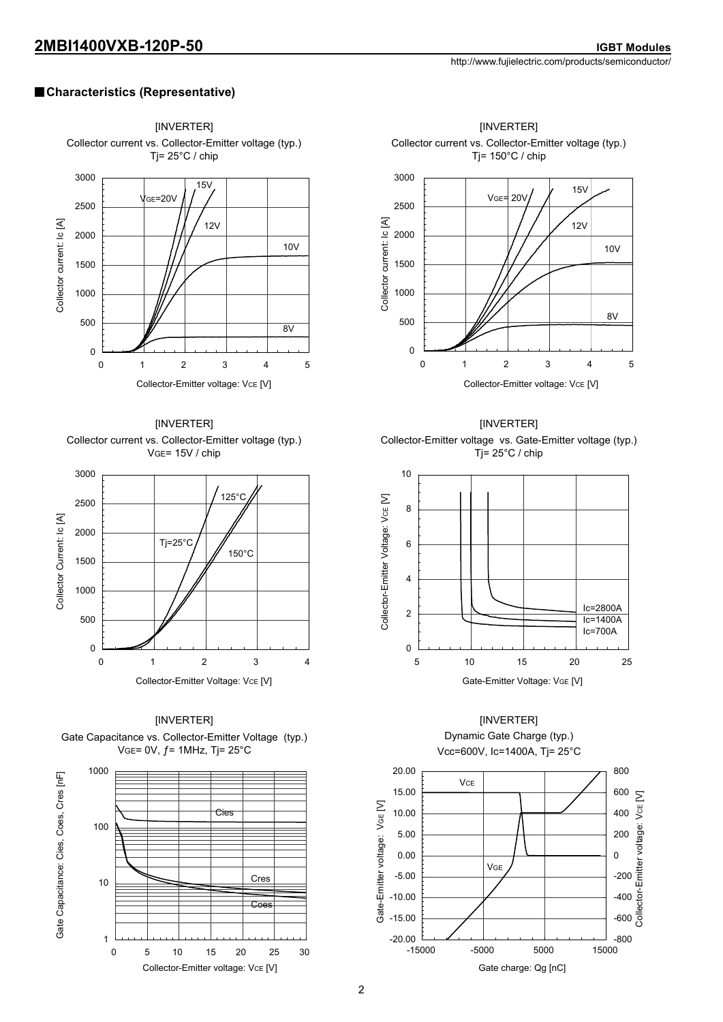#### **Characteristics (Representative)**



Collector-Emitter voltage: VCE [V]

0 5 10 15 20 25 30

1



Collector current vs. Collector-Emitter voltage (typ.)



Collector-Emitter voltage vs. Gate-Emitter voltage (typ.) Tj= 25°C / chip



#### [INVERTER] Dynamic Gate Charge (typ.) Vcc=600V, Ic=1400A, Tj= 25°C



2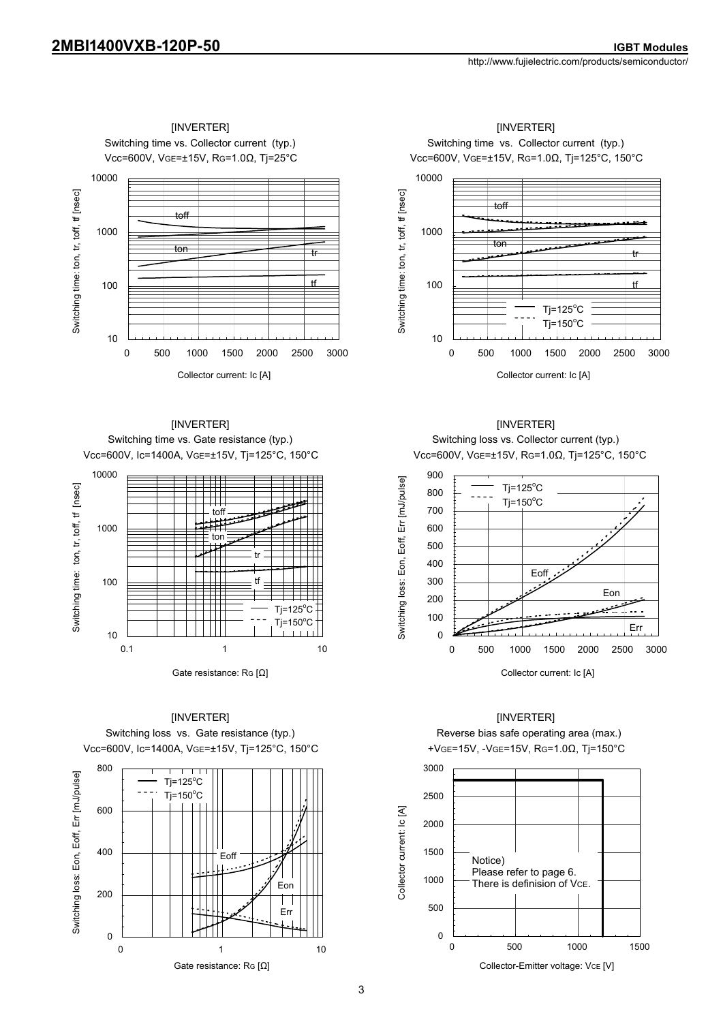

[INVERTER] Switching time vs. Gate resistance (typ.) Vcc=600V, Ic=1400A, VGE=±15V, Tj=125°C, 150°C



Vcc=600V, Ic=1400A, VGE=±15V, Tj=125°C, 150°C +VGE=15V, -VGE=15V, RG=1.0Ω, Tj=150°C Switching loss vs. Gate resistance (typ.) [INVERTER]



 $\sim$  3

Vcc=600V, VGE=±15V, RG=1.0Ω, Tj=125°C, 150°C Switching time vs. Collector current (typ.) [INVERTER] [INVERTER]



Collector current: Ic [A]

[INVERTER] Switching loss vs. Collector current (typ.) Vcc=600V, VGE=±15V, RG=1.0Ω, Tj=125°C, 150°C



#### [INVERTER]

Reverse bias safe operating area (max.)

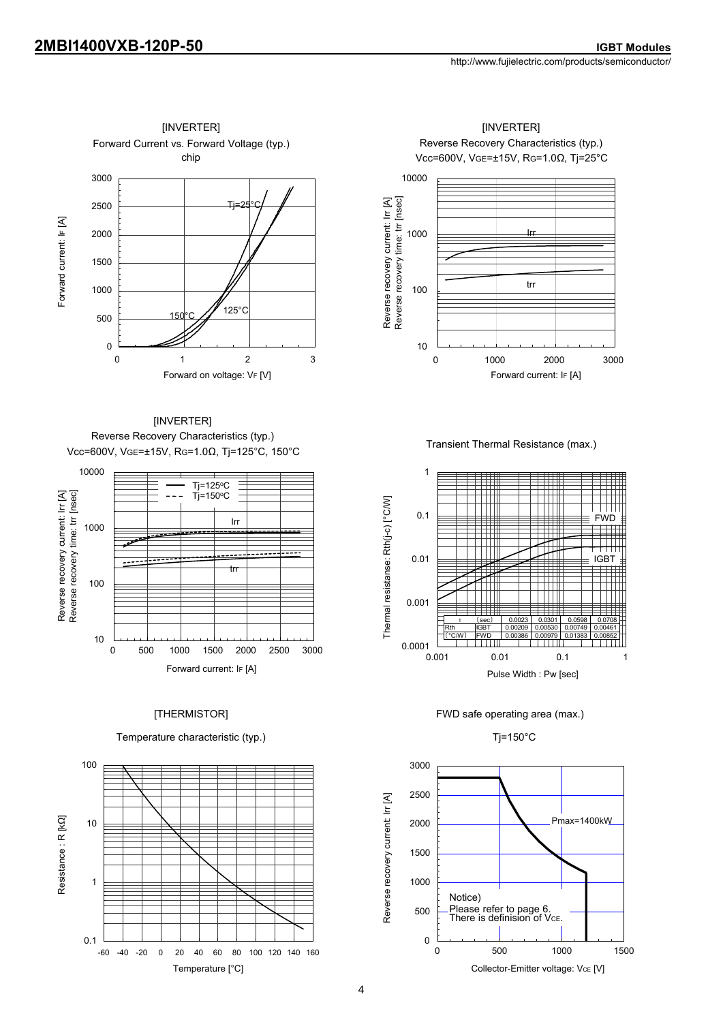

Reverse Recovery Characteristics (typ.) Vcc=600V, VGE=±15V, RG=1.0Ω, Tj=125°C, 150°C [INVERTER]



#### [THERMISTOR]

Temperature characteristic (typ.)



Reverse Recovery Characteristics (typ.) Vcc=600V, VGE=±15V, RG=1.0Ω, Tj=25°C



Transient Thermal Resistance (max.)



FWD safe operating area (max.)



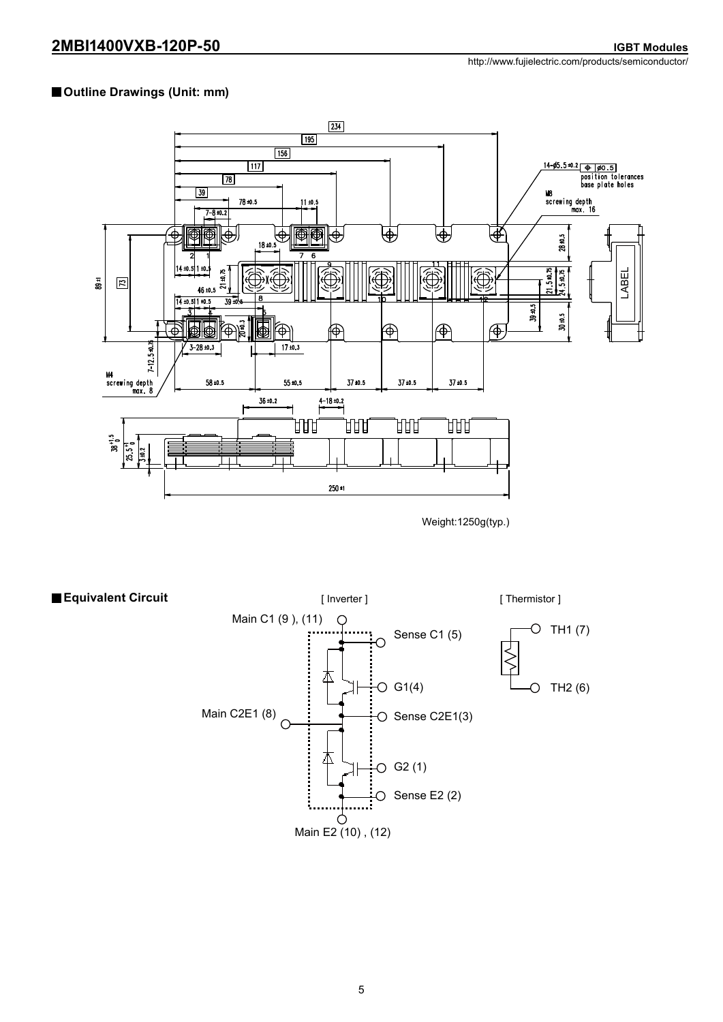#### **Outline Drawings (Unit: mm)**



Weight:1250g(typ.)

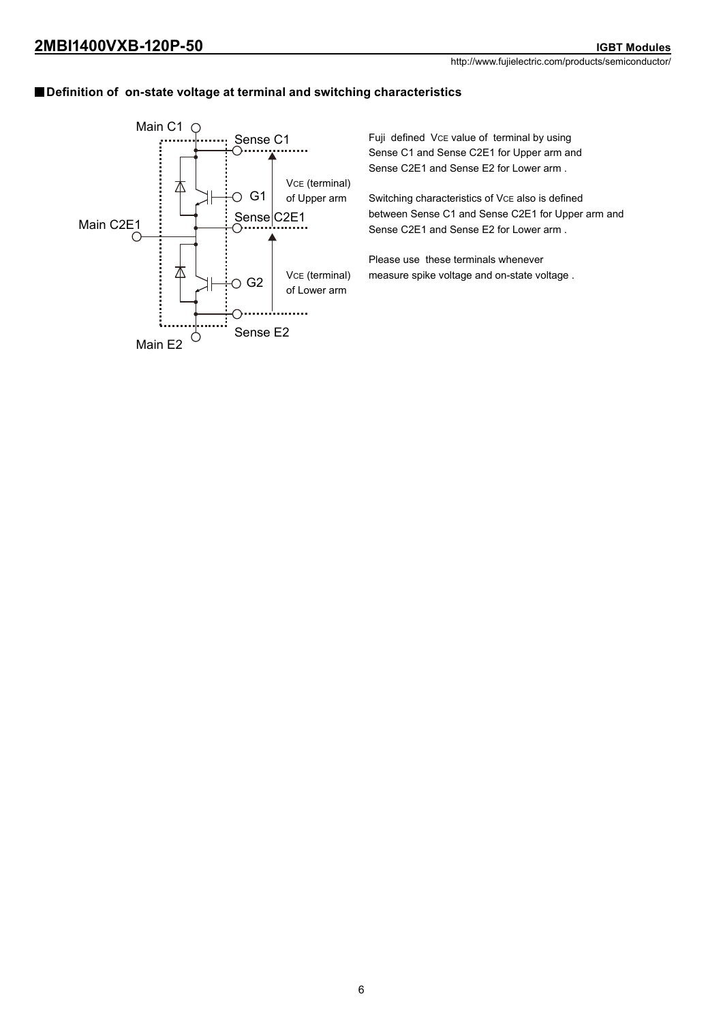### **Definition of on-state voltage at terminal and switching characteristics**



Fuji defined VcE value of terminal by using Sense C1 and Sense C2E1 for Upper arm and Sense C2E1 and Sense E2 for Lower arm .

Switching characteristics of VcE also is defined between Sense C1 and Sense C2E1 for Upper arm and Sense C2E1 and Sense E2 for Lower arm .

Please use these terminals whenever measure spike voltage and on-state voltage .